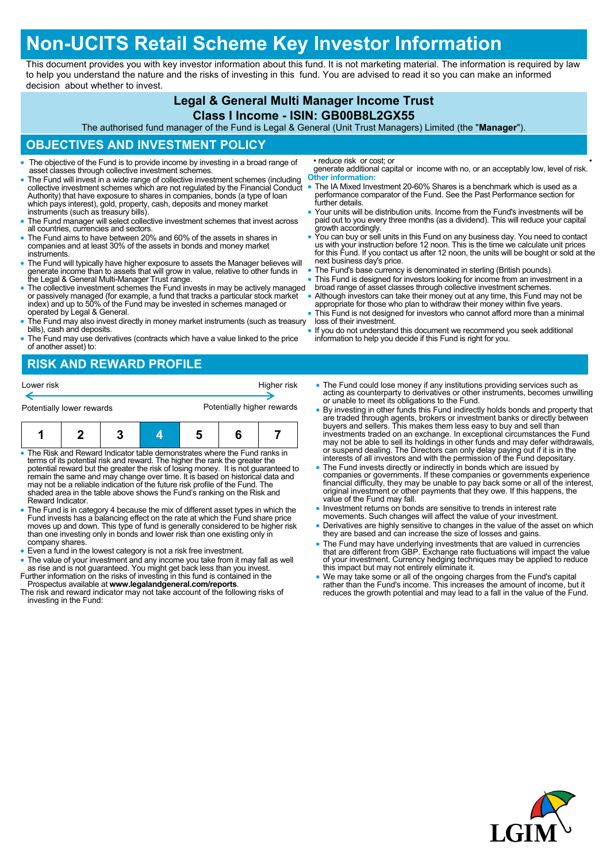# **Non-UCITS Retail Scheme Key Investor Information**

This document provides you with key investor information about this fund. It is not marketing material. The information is required by law to help you understand the nature and the risks of investing in this fund. You are advised to read it so you can make an informed decision about whether to invest.

### **Legal & General Multi Manager Income Trust**

#### **Class I Income - ISIN: GB00B8L2GX55**

The authorised fund manager of the Fund is Legal & General (Unit Trust Managers) Limited (the "**Manager**").

#### **OBJECTIVES AND INVESTMENT POLICY**

- The objective of the Fund is to provide income by investing in a broad range of asset classes through collective investment schemes.
- The Fund will invest in a wide range of collective investment schemes (including collective investment schemes which are not regulated by the Financial Conduct Authority) that have exposure to shares in companies, bonds (a type of loan which pays interest), gold, property, cash, deposits and money market instruments (such as treasury bills).
- The Fund manager will select collective investment schemes that invest across all countries, currencies and sectors.
- The Fund aims to have between 20% and 60% of the assets in shares in companies and at least 30% of the assets in bonds and money market instruments.
- The Fund will typically have higher exposure to assets the Manager believes will generate income than to assets that will grow in value, relative to other funds in the Legal & General Multi-Manager Trust range.
- The collective investment schemes the Fund invests in may be actively managed or passively managed (for example, a fund that tracks a particular stock market index) and up to 50% of the Fund may be invested in schemes managed or operated by Legal & General.
- The Fund may also invest directly in money market instruments (such as treasury bills), cash and deposits.
- The Fund may use derivatives (contracts which have a value linked to the price of another asset) to:

• reduce risk or cost; or

generate additional capital or income with no, or an acceptably low, level of risk. **Other information:**

- The IA Mixed Investment 20-60% Shares is a benchmark which is used as a performance comparator of the Fund. See the Past Performance section for further details.
- Your units will be distribution units. Income from the Fund's investments will be paid out to you every three months (as a dividend). This will reduce your capital growth accordingly.
- You can buy or sell units in this Fund on any business day. You need to contact us with your instruction before 12 noon. This is the time we calculate unit prices for this Fund. If you contact us after 12 noon, the units will be bought or sold at the next business day's price.
- The Fund's base currency is denominated in sterling (British pounds).
- This Fund is designed for investors looking for income from an investment in a broad range of asset classes through collective investment schemes.
- Although investors can take their money out at any time, this Fund may not be appropriate for those who plan to withdraw their money within five years.
- This Fund is not designed for investors who cannot afford more than a minimal loss of their investment.
- If you do not understand this document we recommend you seek additional information to help you decide if this Fund is right for you.

## **RISK AND REWARD PROFILE**

| Lower risk                | Higher risk                |
|---------------------------|----------------------------|
|                           |                            |
| Potentially lower rewards | Potentially higher rewards |

| 1 1 2 3 4 5 6 7 |  |  |  |
|-----------------|--|--|--|

- The Risk and Reward Indicator table demonstrates where the Fund ranks in terms of its potential risk and reward. The higher the rank the greater the potential reward but the greater the risk of losing money. It is not guaranteed to remain the same and may change over time. It is based on historical data and may not be a reliable indication of the future risk profile of the Fund. The shaded area in the table above shows the Fund's ranking on the Risk and Reward Indicator.
- The Fund is in category 4 because the mix of different asset types in which the Fund invests has a balancing effect on the rate at which the Fund share price moves up and down. This type of fund is generally considered to be higher risk than one investing only in bonds and lower risk than one existing only in company shares.
- Even a fund in the lowest category is not a risk free investment.
- The value of your investment and any income you take from it may fall as well as rise and is not guaranteed. You might get back less than you invest.
- Further information on the risks of investing in this fund is contained in the Prospectus available at **www.legalandgeneral.com/reports**.
- The risk and reward indicator may not take account of the following risks of investing in the Fund:
- The Fund could lose money if any institutions providing services such as acting as counterparty to derivatives or other instruments, becomes unwilling or unable to meet its obligations to the Fund.
- By investing in other funds this Fund indirectly holds bonds and property that are traded through agents, brokers or investment banks or directly between buyers and sellers. This makes them less easy to buy and sell than investments traded on an exchange. In exceptional circumstances the Fund may not be able to sell its holdings in other funds and may defer withdrawals,<br>or suspend dealing. The Directors can only delay paying out if it is in the<br>interests of all investors and with the permission of the Fund depo
- The Fund invests directly or indirectly in bonds which are issued by<br>companies or governments. If these companies or governments experience<br>financial difficulty, they may be unable to pay back some or all of the interest value of the Fund may fall.
- Investment returns on bonds are sensitive to trends in interest rate movements. Such changes will affect the value of your investment.
- Derivatives are highly sensitive to changes in the value of the asset on which they are based and can increase the size of losses and gains.
- The Fund may have underlying investments that are valued in currencies that are different from GBP. Exchange rate fluctuations will impact the value of your investment. Currency hedging techniques may be applied to reduce this impact but may not entirely eliminate it.
- We may take some or all of the ongoing charges from the Fund's capital<br>rather than the Fund's income. This increases the amount of income, but it<br>reduces the growth potential and may lead to a fall in the value of the Fu